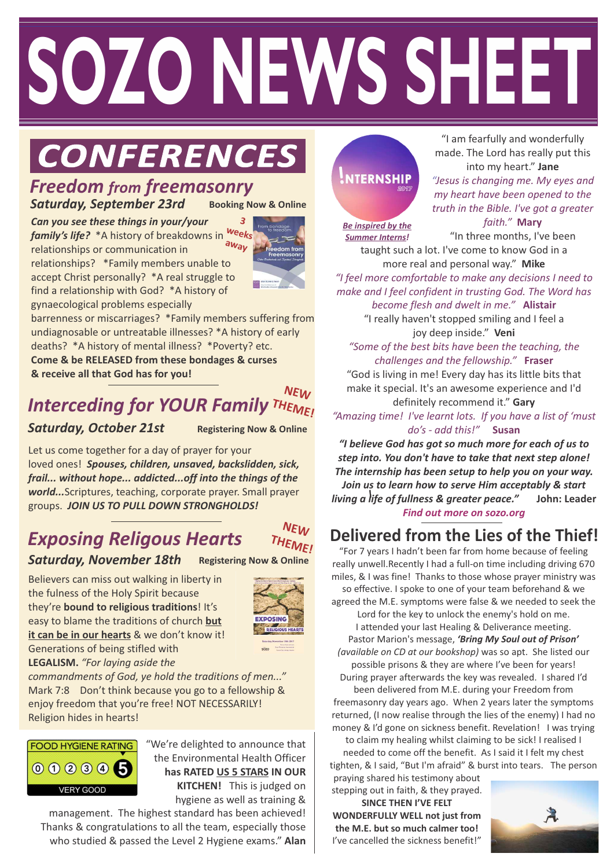# **Healing Issues of Life 2 ALL Do join us! WELCOME SOZO NEWS SHEET**

# $CONFERENCES$

#### *Freedom from freemasonry* **Booking Now & Online** *Saturday, September 23rd*

*Can you see these things in your/your family's life?* \*A history of breakdowns in relationships or communication in relationships? \*Family members unable to accept Christ personally? \*A real struggle to find a relationship with God? \*A history of gynaecological problems especially **3 weeks away**



barrenness or miscarriages? \*Family members suffering from undiagnosable or untreatable illnesses? \*A history of early deaths? \*A history of mental illness? \*Poverty? etc. **Come & be RELEASED from these bondages & curses & receive all that God has for you!** 

#### *Interceding for YOUR Family*  **NEW THEME!**

#### *Saturday, October 21st*

**Registering Now & Online**

Let us come together for a day of prayer for your loved ones! *Spouses, children, unsaved, backslidden, sick, frail... without hope... addicted...off into the things of the world...*Scriptures, teaching, corporate prayer. Small prayer groups. *JOIN US TO PULL DOWN STRONGHOLDS!*

# *Exposing Religous Hearts*



*Saturday, November 18th* **Registering Now & Online**

Believers can miss out walking in liberty in the fulness of the Holy Spirit because they're **bound to religious traditions**! It's easy to blame the traditions of church **but it can be in our hearts** & we don't know it! Generations of being stifled with **LEGALISM.** *"For laying aside the* 



*commandments of God, ye hold the traditions of men..."*  Mark 7:8 Don't think because you go to a fellowship & enjoy freedom that you're free! NOT NECESSARILY! Religion hides in hearts!



"We're delighted to announce that the Environmental Health Officer **has RATED US 5 STARS IN OUR KITCHEN!** This is judged on hygiene as well as training &

management. The highest standard has been achieved! Thanks & congratulations to all the team, especially those who studied & passed the Level 2 Hygiene exams." **Alan**

# **NTERNSHIP**

"I am fearfully and wonderfully made. The Lord has really put this into my heart." **Jane**

*"Jesus is changing me. My eyes and my heart have been opened to the truth in the Bible. I've got a greater* 

*faith."* **Mary**

*Be inspired by the Summer Interns!*

"In three months, I've been taught such a lot. I've come to know God in a

**8.45am Friday 3rd Feb** *"I feel more comfortable to make any decisions I need to*  more real and personal way." **Mike** *make and I feel confident in trusting God. The Word has* 

*become flesh and dwelt in me."* **Alistair** "I really haven't stopped smiling and I feel a joy deep inside." **Veni**

*"Some of the best bits have been the teaching, the challenges and the fellowship."* **Fraser** "God is living in me! Every day has its little bits that make it special. It's an awesome experience and I'd

definitely recommend it." **Gary** *"Amazing time! I've learnt lots. If you have a list of 'must do's - add this!"* **Susan**

*"I believe God has got so much more for each of us to step into. You don't have to take that next step alone! The internship has been setup to help you on your way. Join us to learn how to serve Him acceptably & start living a life of fullness & greater peace."* **John: Leader**  *! Find out more on sozo.org*

## **Delivered from the Lies of the Thief!**

"For 7 years I hadn't been far from home because of feeling really unwell.Recently I had a full-on time including driving 670 miles, & I was fine! Thanks to those whose prayer ministry was so effective. I spoke to one of your team beforehand & we agreed the M.E. symptoms were false & we needed to seek the Lord for the key to unlock the enemy's hold on me. I attended your last Healing & Deliverance meeting. Pastor Marion's message, *'Bring My Soul out of Prison'* 

*(available on CD at our bookshop)* was so apt. She listed our possible prisons & they are where I've been for years! During prayer afterwards the key was revealed. I shared I'd been delivered from M.E. during your Freedom from freemasonry day years ago. When 2 years later the symptoms returned, (I now realise through the lies of the enemy) I had no money & I'd gone on sickness benefit. Revelation! I was trying to claim my healing whilst claiming to be sick! I realised I

needed to come off the benefit. As I said it I felt my chest tighten, & I said, "But I'm afraid" & burst into tears. The person praying shared his testimony about

stepping out in faith, & they prayed. **SINCE THEN I'VE FELT WONDERFULLY WELL not just from the M.E. but so much calmer too!** 

I've cancelled the sickness benefit!"